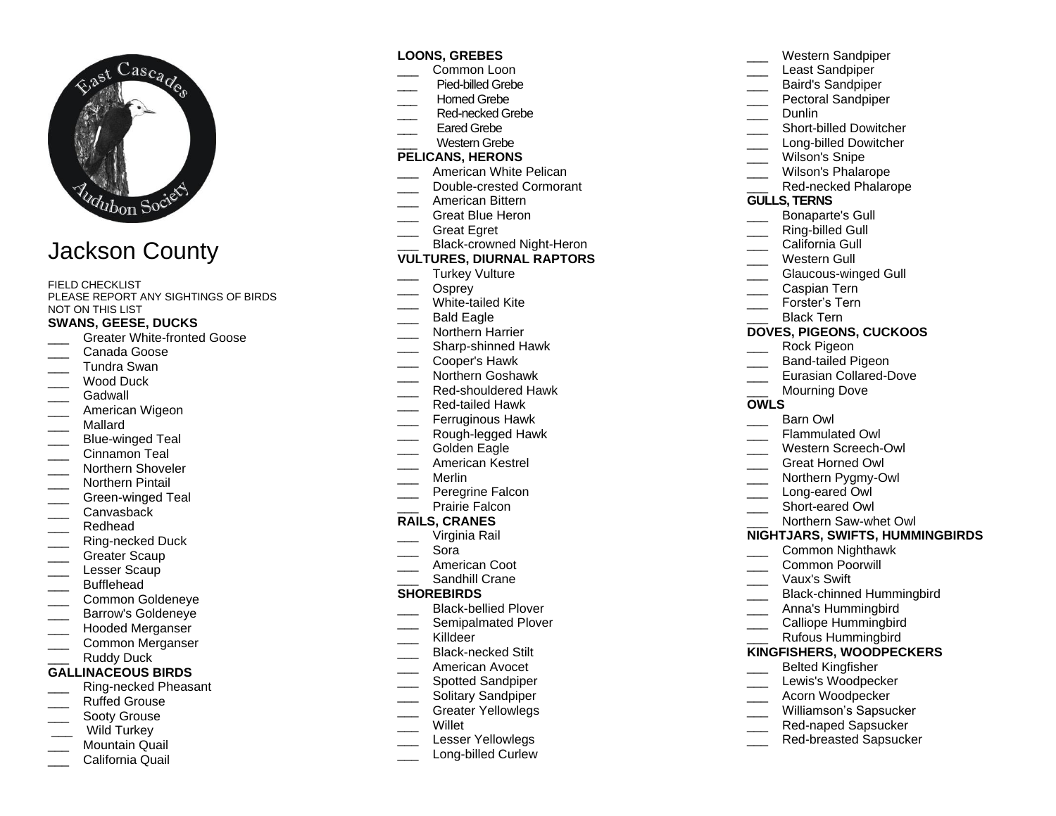

# Jackson County

FIELD CHECKLIST PLEASE REPORT ANY SIGHTINGS OF BIRDS NOT ON THIS LIST

#### **SWANS, GEESE, DUCKS**

- Greater White-fronted Goose
- Canada Goose
- \_\_\_ Tundra Swan
- Wood Duck
- Gadwall
- American Wigeon
- \_\_\_ Mallard
- Blue-winged Teal
- Cinnamon Teal
- Northern Shoveler
- Northern Pintail
- Green-winged Teal
- \_\_\_ Canvasback
- \_\_\_ Redhead
- Ring-necked Duck
- Greater Scaup
- Lesser Scaup
- \_\_\_ Bufflehead
- \_\_\_ Common Goldeneye
- \_\_\_ Barrow's Goldeneye
- \_\_\_ Hooded Merganser
- \_\_\_ Common Merganser

## Ruddy Duck

- **GALLINACEOUS BIRDS**
- \_\_\_ Ring-necked Pheasant
- \_\_\_ Ruffed Grouse
- Sooty Grouse
- Wild Turkey
- Mountain Quail \_\_\_ California Quail

#### **LOONS, GREBES**

- Common Loon
- \_\_\_Pied-billed Grebe
- \_\_\_ Horned Grebe
- Red-necked Grebe
- Eared Grebe
- Western Grebe

## **PELICANS, HERONS**

- American White Pelican
- Double-crested Cormorant
- American Bittern
- Great Blue Heron
- \_\_\_ Great Egret
- Black-crowned Night-Heron

#### **VULTURES, DIURNAL RAPTORS**

- Turkey Vulture
- Osprey
- White-tailed Kite
- \_\_\_ Bald Eagle
- Northern Harrier
- \_\_\_ Sharp-shinned Hawk
- \_\_\_ Cooper's Hawk
- \_\_\_ Northern Goshawk
- Red-shouldered Hawk
- \_\_\_ Red-tailed Hawk
- Ferruginous Hawk
- \_\_\_ Rough-legged Hawk
- Golden Eagle
- \_\_\_ American Kestrel
- \_\_\_ Merlin
- Peregrine Falcon
- Prairie Falcon

### **RAILS, CRANES**

- \_\_\_ Virginia Rail
- \_\_\_ Sora
- \_\_\_ American Coot
- Sandhill Crane

#### **SHOREBIRDS**

- \_\_\_ Black-bellied Plover
- Semipalmated Plover
- \_\_\_ Killdeer
- \_\_\_ Black-necked Stilt
- \_\_\_ American Avocet
- Spotted Sandpiper
- Solitary Sandpiper
- \_\_\_ Greater Yellowlegs
- **Willet**
- Lesser Yellowlegs
- Long-billed Curlew
- \_\_\_ Western Sandpiper
- Least Sandpiper
- \_\_\_ Baird's Sandpiper
- Pectoral Sandpiper
- Dunlin
- Short-billed Dowitcher
- Long-billed Dowitcher
- Wilson's Snipe
- Wilson's Phalarope
- Red-necked Phalarope

#### **GULLS, TERNS**

- \_\_\_ Bonaparte's Gull
- Ring-billed Gull
- California Gull
- Western Gull
- Glaucous-winged Gull

**DOVES, PIGEONS, CUCKOOS** Rock Pigeon Band-tailed Pigeon Eurasian Collared-Dove

Mourning Dove

Flammulated Owl \_\_\_ Western Screech-Owl \_\_\_ Great Horned Owl \_\_\_ Northern Pygmy-Owl Long-eared Owl Short-eared Owl \_\_\_ Northern Saw-whet Owl **NIGHTJARS, SWIFTS, HUMMINGBIRDS**

> \_\_\_ Common Nighthawk \_\_\_ Common Poorwill \_\_\_ Vaux's Swift

\_\_\_ Anna's Hummingbird Calliope Hummingbird \_\_\_ Rufous Hummingbird **KINGFISHERS, WOODPECKERS** \_\_\_ Belted Kingfisher Lewis's Woodpecker \_\_\_ Acorn Woodpecker Williamson's Sapsucker \_\_\_ Red-naped Sapsucker Red-breasted Sapsucker

Black-chinned Hummingbird

\_\_\_ Barn Owl

\_\_\_ Caspian Tern

Black Tern

Forster's Tern

**OWLS**